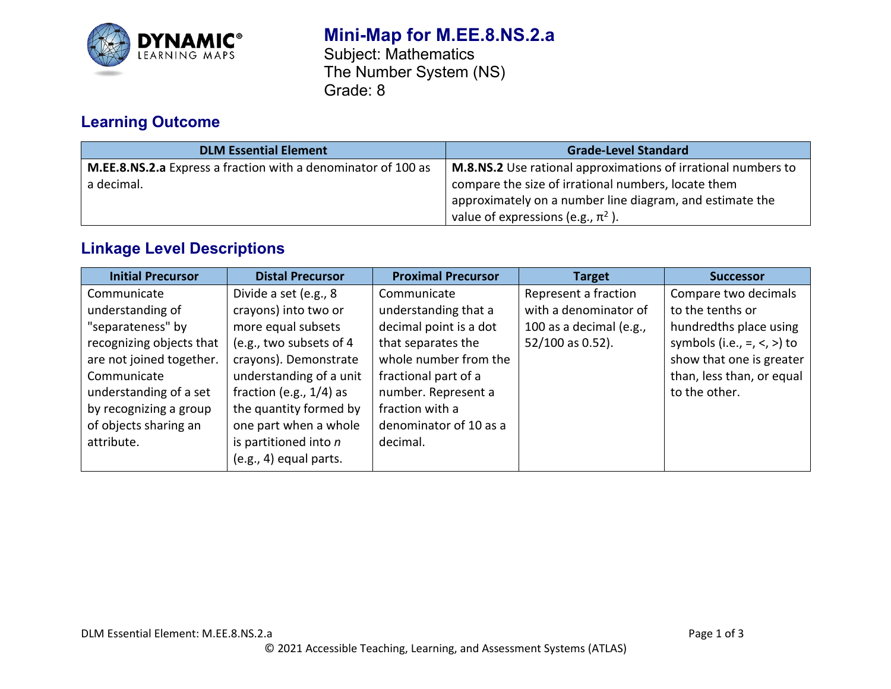

# **Mini-Map for M.EE.8.NS.2.a**

Subject: Mathematics The Number System (NS) Grade: 8

# **Learning Outcome**

| <b>DLM Essential Element</b>                                  | <b>Grade-Level Standard</b>                                          |  |
|---------------------------------------------------------------|----------------------------------------------------------------------|--|
| M.EE.8.NS.2.a Express a fraction with a denominator of 100 as | <b>M.8.NS.2</b> Use rational approximations of irrational numbers to |  |
| a decimal.                                                    | compare the size of irrational numbers, locate them                  |  |
|                                                               | approximately on a number line diagram, and estimate the             |  |
|                                                               | value of expressions (e.g., $\pi^2$ ).                               |  |

## **Linkage Level Descriptions**

| <b>Initial Precursor</b> | <b>Distal Precursor</b>    | <b>Proximal Precursor</b> | <b>Target</b>           | <b>Successor</b>                      |
|--------------------------|----------------------------|---------------------------|-------------------------|---------------------------------------|
| Communicate              | Divide a set (e.g., 8      | Communicate               | Represent a fraction    | Compare two decimals                  |
| understanding of         | crayons) into two or       | understanding that a      | with a denominator of   | to the tenths or                      |
| "separateness" by        | more equal subsets         | decimal point is a dot    | 100 as a decimal (e.g., | hundredths place using                |
| recognizing objects that | (e.g., two subsets of 4    | that separates the        | 52/100 as 0.52).        | symbols (i.e., $=$ , $\lt$ , $>$ ) to |
| are not joined together. | crayons). Demonstrate      | whole number from the     |                         | show that one is greater              |
| Communicate              | understanding of a unit    | fractional part of a      |                         | than, less than, or equal             |
| understanding of a set   | fraction (e.g., $1/4$ ) as | number. Represent a       |                         | to the other.                         |
| by recognizing a group   | the quantity formed by     | fraction with a           |                         |                                       |
| of objects sharing an    | one part when a whole      | denominator of 10 as a    |                         |                                       |
| attribute.               | is partitioned into $n$    | decimal.                  |                         |                                       |
|                          | (e.g., 4) equal parts.     |                           |                         |                                       |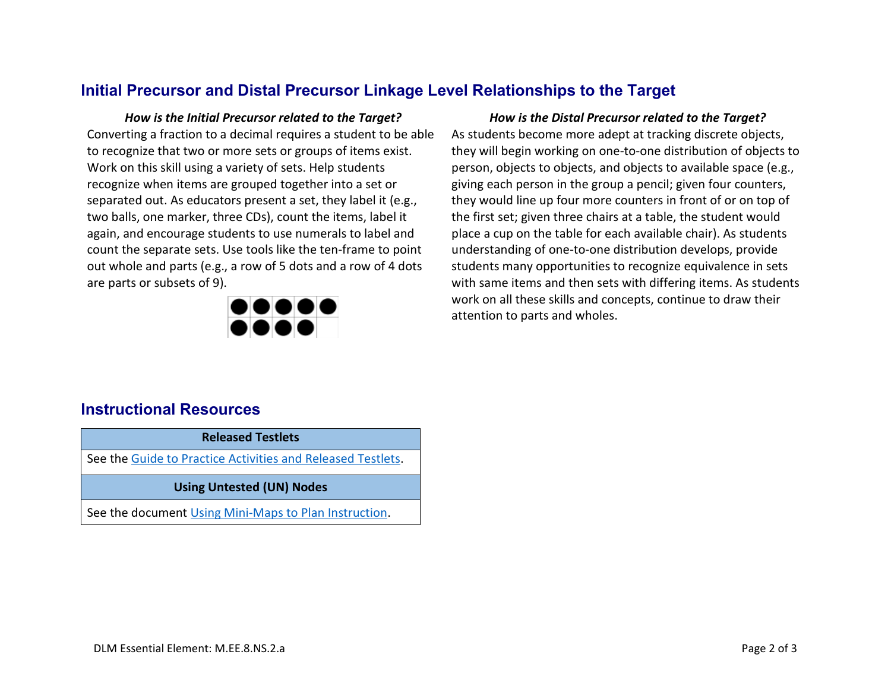## **Initial Precursor and Distal Precursor Linkage Level Relationships to the Target**

Converting a fraction to a decimal requires a student to be able to recognize that two or more sets or groups of items exist. Work on this skill using a variety of sets. Help students recognize when items are grouped together into a set or separated out. As educators present a set, they label it (e.g., two balls, one marker, three CDs), count the items, label it again, and encourage students to use numerals to label and count the separate sets. Use tools like the ten-frame to point out whole and parts (e.g., a row of 5 dots and a row of 4 dots are parts or subsets of 9).



*How is the Initial Precursor related to the Target? How is the Distal Precursor related to the Target?* As students become more adept at tracking discrete objects, they will begin working on one-to-one distribution of objects to person, objects to objects, and objects to available space (e.g., giving each person in the group a pencil; given four counters, they would line up four more counters in front of or on top of the first set; given three chairs at a table, the student would place a cup on the table for each available chair). As students understanding of one-to-one distribution develops, provide students many opportunities to recognize equivalence in sets with same items and then sets with differing items. As students work on all these skills and concepts, continue to draw their attention to parts and wholes.

### **Instructional Resources**

**Released Testlets** See the [Guide to Practice Activities and Released Testlets.](https://dynamiclearningmaps.org/sites/default/files/documents/Manuals_Blueprints/Guide_to_Practice_Activities_and_Released_Testlets.pdf)

#### **Using Untested (UN) Nodes**

See the document [Using Mini-Maps to Plan Instruction.](https://dynamiclearningmaps.org/sites/default/files/documents/Using_Mini_Maps_to_Plan_Instruction.pdf)